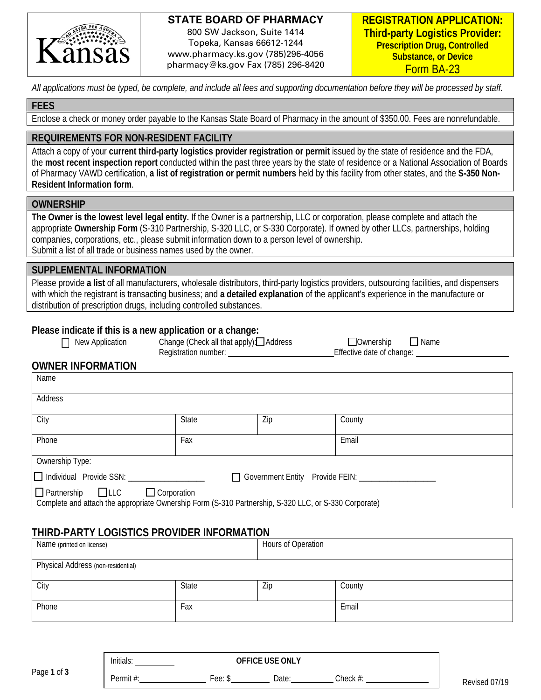

#### **STATE BOARD OF PHARMACY**

800 SW Jackson, Suite 1414 Topeka, Kansas 66612-1244 www.pharmacy.ks.gov (785)296-4056 pharmacy@ks.gov Fax (785) 296-8420

*All applications must be typed, be complete, and include all fees and supporting documentation before they will be processed by staff.* 

#### **FEES**

Enclose a check or money order payable to the Kansas State Board of Pharmacy in the amount of \$350.00. Fees are nonrefundable.

# **REQUIREMENTS FOR NON-RESIDENT FACILITY**

Attach a copy of your **current third-party logistics provider registration or permit** issued by the state of residence and the FDA, the **most recent inspection report** conducted within the past three years by the state of residence or a National Association of Boards of Pharmacy VAWD certification, **a list of registration or permit numbers** held by this facility from other states, and the **S-350 Non-Resident Information form**.

#### **OWNERSHIP**

**The Owner is the lowest level legal entity.** If the Owner is a partnership, LLC or corporation, please complete and attach the appropriate **Ownership Form** (S-310 Partnership, S-320 LLC, or S-330 Corporate). If owned by other LLCs, partnerships, holding companies, corporations, etc., please submit information down to a person level of ownership. Submit a list of all trade or business names used by the owner.

#### **SUPPLEMENTAL INFORMATION**

Please provide **a list** of all manufacturers, wholesale distributors, third-party logistics providers, outsourcing facilities, and dispensers with which the registrant is transacting business; and **a detailed explanation** of the applicant's experience in the manufacture or distribution of prescription drugs, including controlled substances.

#### **Please indicate if this is a new application or a change:**

| New Application | Change (Check all that apply): Address | $\Box$ Ownership | $\Box$ Name |
|-----------------|----------------------------------------|------------------|-------------|
|                 |                                        |                  |             |

Registration number: <br> Effective date of change:

## **OWNER INFORMATION**

| Name                                                                                                                                                         |              |     |        |  |
|--------------------------------------------------------------------------------------------------------------------------------------------------------------|--------------|-----|--------|--|
| Address                                                                                                                                                      |              |     |        |  |
| City                                                                                                                                                         | <b>State</b> | Zip | County |  |
| Phone                                                                                                                                                        | Fax          |     | Email  |  |
| Ownership Type:                                                                                                                                              |              |     |        |  |
| □ Individual Provide SSN:<br>□ Government Entity Provide FEIN: ______                                                                                        |              |     |        |  |
| $\Box$ Partnership $\Box$ LLC<br>$\Box$ Corporation<br>Complete and attach the appropriate Ownership Form (S-310 Partnership, S-320 LLC, or S-330 Corporate) |              |     |        |  |

# **THIRD-PARTY LOGISTICS PROVIDER INFORMATION**

| Name (printed on license)          |       | Hours of Operation |        |
|------------------------------------|-------|--------------------|--------|
| Physical Address (non-residential) |       |                    |        |
| City                               | State | Zip                | County |
| Phone                              | Fax   |                    | Email  |

|             | .<br>Initials | <b>OFFICE USE ONLY</b> |      |       |  |  |
|-------------|---------------|------------------------|------|-------|--|--|
| Page 1 of 3 | Permit        | ee:                    | Date | Check |  |  |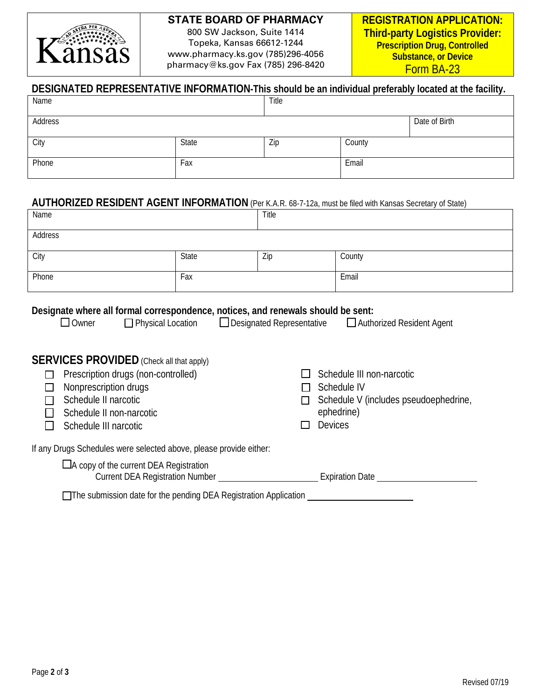

#### **STATE BOARD OF PHARMACY**

800 SW Jackson, Suite 1414 Topeka, Kansas 66612-1244 www.pharmacy.ks.gov (785)296-4056 pharmacy@ks.gov Fax (785) 296-8420

| DESIGNATED REPRESENTATIVE INFORMATION-This should be an individual preferably located at the facility. |       |       |        |               |  |
|--------------------------------------------------------------------------------------------------------|-------|-------|--------|---------------|--|
| Name                                                                                                   |       | Title |        |               |  |
| Address                                                                                                |       |       |        | Date of Birth |  |
| City                                                                                                   | State | Zip   | County |               |  |
| Phone                                                                                                  | Fax   |       | Email  |               |  |

#### **AUTHORIZED RESIDENT AGENT INFORMATION** (Per K.A.R. 68-7-12a, must be filed with Kansas Secretary of State)

| Name    |       | Title |        |
|---------|-------|-------|--------|
| Address |       |       |        |
| City    | State | Zip   | County |
| Phone   | Fax   |       | Email  |
|         |       |       |        |

# **Designate where all formal correspondence, notices, and renewals should be sent:**<br>□ Designated Representative □ Authomer □ Physical Location □ Designated Representative □ Autho

 $\Box$  Designated Representative  $\Box$  Authorized Resident Agent

# **SERVICES PROVIDED** (Check all that apply)

| Prescription drugs (non-controlled)                                                                                                                           |                        | Schedule III non-narcotic             |
|---------------------------------------------------------------------------------------------------------------------------------------------------------------|------------------------|---------------------------------------|
| Nonprescription drugs                                                                                                                                         |                        | Schedule IV                           |
| Schedule II narcotic                                                                                                                                          |                        | Schedule V (includes pseudoephedrine, |
| Schedule II non-narcotic                                                                                                                                      |                        | ephedrine)                            |
| Schedule III narcotic                                                                                                                                         |                        | <b>Devices</b>                        |
| If any Drugs Schedules were selected above, please provide either:<br>$\Box$ A copy of the current DEA Registration<br><b>Current DEA Registration Number</b> | <b>Expiration Date</b> |                                       |
|                                                                                                                                                               |                        |                                       |

□The submission date for the pending DEA Registration Application